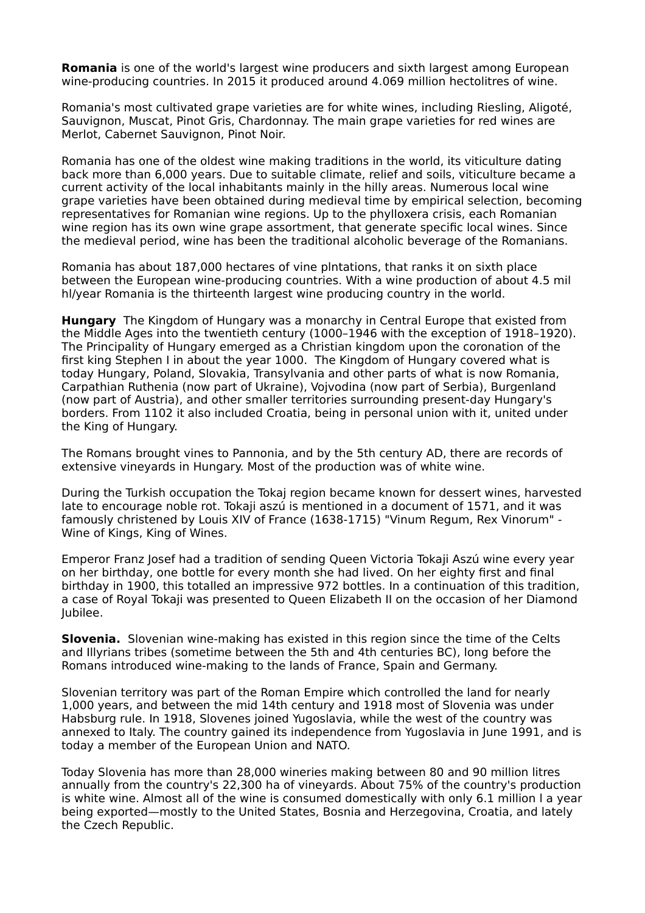**Romania** is one of the world's largest wine producers and sixth largest among European wine-producing countries. In 2015 it produced around 4.069 million hectolitres of wine.

Romania's most cultivated grape varieties are for white wines, including Riesling, Aligoté, Sauvignon, Muscat, Pinot Gris, Chardonnay. The main grape varieties for red wines are Merlot, Cabernet Sauvignon, Pinot Noir.

Romania has one of the oldest wine making traditions in the world, its viticulture dating back more than 6,000 years. Due to suitable climate, relief and soils, viticulture became a current activity of the local inhabitants mainly in the hilly areas. Numerous local wine grape varieties have been obtained during medieval time by empirical selection, becoming representatives for Romanian wine regions. Up to the phylloxera crisis, each Romanian wine region has its own wine grape assortment, that generate specific local wines. Since the medieval period, wine has been the traditional alcoholic beverage of the Romanians.

Romania has about 187,000 hectares of vine plntations, that ranks it on sixth place between the European wine-producing countries. With a wine production of about 4.5 mil hl/year Romania is the thirteenth largest wine producing country in the world.

**Hungary** The Kingdom of Hungary was a monarchy in Central Europe that existed from the Middle Ages into the twentieth century (1000–1946 with the exception of 1918–1920). The Principality of Hungary emerged as a Christian kingdom upon the coronation of the first king Stephen I in about the year 1000. The Kingdom of Hungary covered what is today Hungary, Poland, Slovakia, Transylvania and other parts of what is now Romania, Carpathian Ruthenia (now part of Ukraine), Vojvodina (now part of Serbia), Burgenland (now part of Austria), and other smaller territories surrounding present-day Hungary's borders. From 1102 it also included Croatia, being in personal union with it, united under the King of Hungary.

The Romans brought vines to Pannonia, and by the 5th century AD, there are records of extensive vineyards in Hungary. Most of the production was of white wine.

During the Turkish occupation the Tokaj region became known for dessert wines, harvested late to encourage noble rot. Tokaji aszú is mentioned in a document of 1571, and it was famously christened by Louis XIV of France (1638-1715) "Vinum Regum, Rex Vinorum" - Wine of Kings, King of Wines.

Emperor Franz Josef had a tradition of sending Queen Victoria Tokaji Aszú wine every year on her birthday, one bottle for every month she had lived. On her eighty first and final birthday in 1900, this totalled an impressive 972 bottles. In a continuation of this tradition, a case of Royal Tokaji was presented to Queen Elizabeth II on the occasion of her Diamond Jubilee.

**Slovenia.** Slovenian wine-making has existed in this region since the time of the Celts and Illyrians tribes (sometime between the 5th and 4th centuries BC), long before the Romans introduced wine-making to the lands of France, Spain and Germany.

Slovenian territory was part of the Roman Empire which controlled the land for nearly 1,000 years, and between the mid 14th century and 1918 most of Slovenia was under Habsburg rule. In 1918, Slovenes joined Yugoslavia, while the west of the country was annexed to Italy. The country gained its independence from Yugoslavia in June 1991, and is today a member of the European Union and NATO.

Today Slovenia has more than 28,000 wineries making between 80 and 90 million litres annually from the country's 22,300 ha of vineyards. About 75% of the country's production is white wine. Almost all of the wine is consumed domestically with only 6.1 million l a year being exported—mostly to the United States, Bosnia and Herzegovina, Croatia, and lately the Czech Republic.